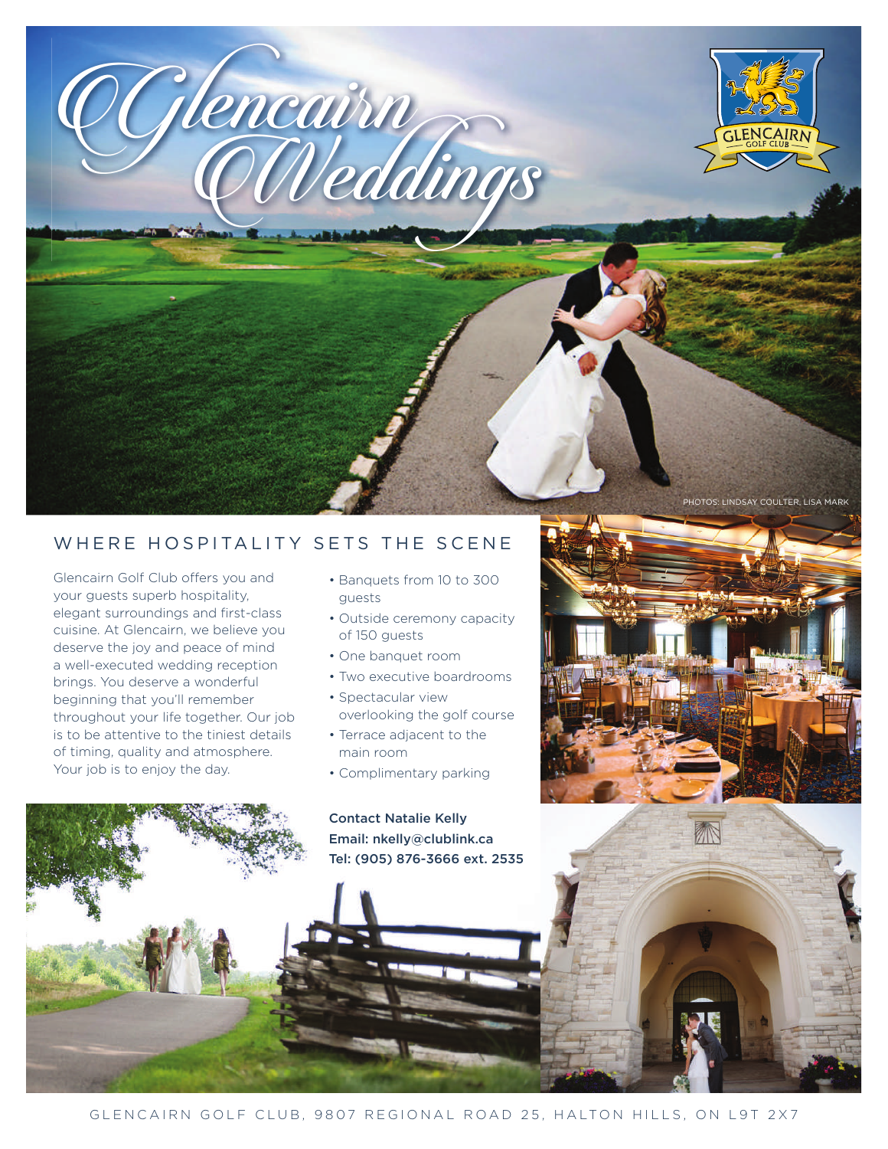

## WHERE HOSPITALITY SETS THE SCENE

Glencairn Golf Club offers you and your guests superb hospitality, elegant surroundings and first-class cuisine. At Glencairn, we believe you deserve the joy and peace of mind a well-executed wedding reception brings. You deserve a wonderful beginning that you'll remember throughout your life together. Our job is to be attentive to the tiniest details of timing, quality and atmosphere. Your job is to enjoy the day.

- Banquets from 10 to 300 guests
- Outside ceremony capacity of 150 guests
- One banquet room
- Two executive boardrooms
- Spectacular view overlooking the golf course
- Terrace adjacent to the main room
- Complimentary parking

Contact Natalie Kelly Email: nkelly@clublink.ca Tel: (905) 876-3666 ext. 2535